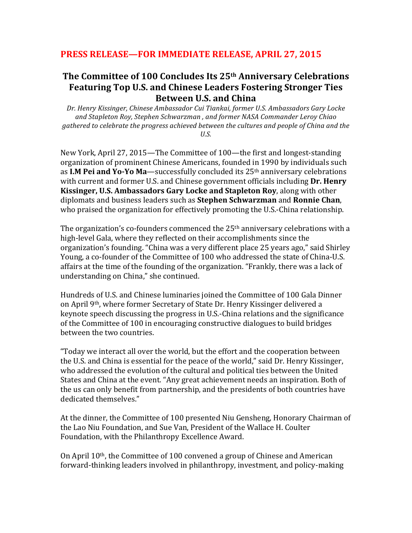## PRESS RELEASE—FOR IMMEDIATE RELEASE, APRIL 27, 2015

## **The Committee of 100 Concludes Its 25<sup>th</sup> Anniversary Celebrations** Featuring Top U.S. and Chinese Leaders Fostering Stronger Ties **Between U.S. and China**

Dr. Henry Kissinger, Chinese Ambassador Cui Tiankai, former U.S. Ambassadors Gary Locke *and Stapleton Roy, Stephen Schwarzman , and former NASA Commander Leroy Chiao*  gathered to celebrate the progress achieved between the cultures and people of China and the *U.S.*

New York, April 27, 2015—The Committee of 100—the first and longest-standing organization of prominent Chinese Americans, founded in 1990 by individuals such as **I.M Pei and Yo-Yo Ma**—successfully concluded its 25<sup>th</sup> anniversary celebrations with current and former U.S. and Chinese government officials including **Dr. Henry Kissinger, U.S. Ambassadors Gary Locke and Stapleton Roy**, along with other diplomats and business leaders such as **Stephen Schwarzman** and **Ronnie Chan**, who praised the organization for effectively promoting the U.S.-China relationship.

The organization's co-founders commenced the  $25<sup>th</sup>$  anniversary celebrations with a high-level Gala, where they reflected on their accomplishments since the organization's founding. "China was a very different place 25 years ago," said Shirley Young, a co-founder of the Committee of 100 who addressed the state of China-U.S. affairs at the time of the founding of the organization. "Frankly, there was a lack of understanding on China," she continued.

Hundreds of U.S. and Chinese luminaries joined the Committee of 100 Gala Dinner on April 9<sup>th</sup>, where former Secretary of State Dr. Henry Kissinger delivered a keynote speech discussing the progress in U.S.-China relations and the significance of the Committee of 100 in encouraging constructive dialogues to build bridges between the two countries.

"Today we interact all over the world, but the effort and the cooperation between the U.S. and China is essential for the peace of the world," said Dr. Henry Kissinger, who addressed the evolution of the cultural and political ties between the United States and China at the event. "Any great achievement needs an inspiration. Both of the us can only benefit from partnership, and the presidents of both countries have dedicated themselves."

At the dinner, the Committee of 100 presented Niu Gensheng, Honorary Chairman of the Lao Niu Foundation, and Sue Van, President of the Wallace H. Coulter Foundation, with the Philanthropy Excellence Award.

On April  $10<sup>th</sup>$ , the Committee of 100 convened a group of Chinese and American forward-thinking leaders involved in philanthropy, investment, and policy-making